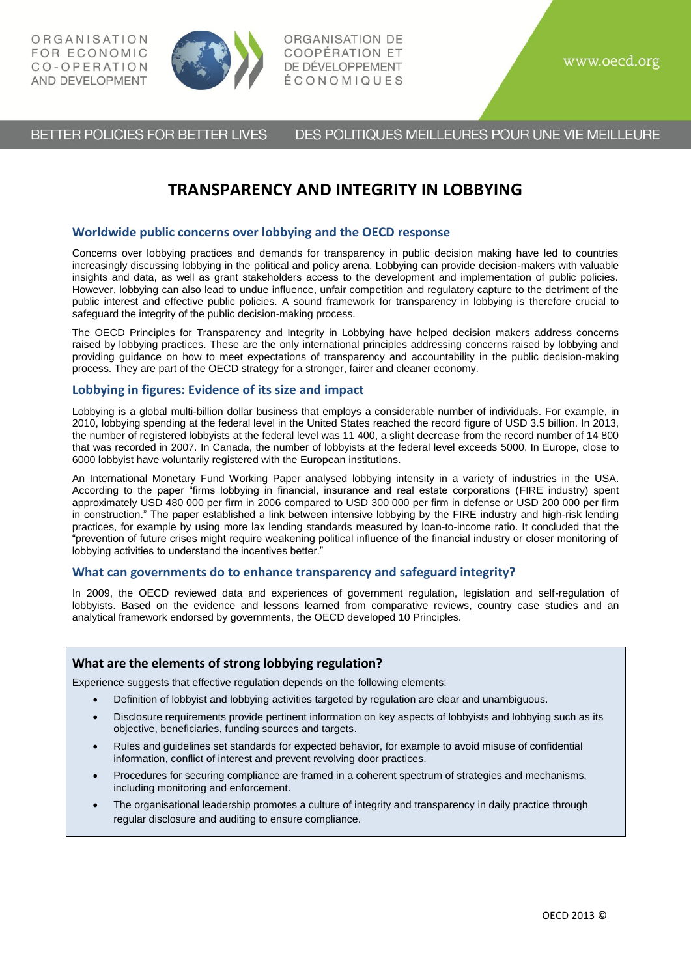

ORGANISATION DE COOPÉRATION ET DE DÉVELOPPEMENT ÉCONOMIQUES

BETTER POLICIES FOR BETTER LIVES DES POLITIQUES MEILLEURES POUR UNE VIE MEILLEURE

# **TRANSPARENCY AND INTEGRITY IN LOBBYING**

## **Worldwide public concerns over lobbying and the OECD response**

Concerns over lobbying practices and demands for transparency in public decision making have led to countries increasingly discussing lobbying in the political and policy arena. Lobbying can provide decision-makers with valuable insights and data, as well as grant stakeholders access to the development and implementation of public policies. However, lobbying can also lead to undue influence, unfair competition and regulatory capture to the detriment of the public interest and effective public policies. A sound framework for transparency in lobbying is therefore crucial to safeguard the integrity of the public decision-making process.

The OECD Principles for Transparency and Integrity in Lobbying have helped decision makers address concerns raised by lobbying practices. These are the only international principles addressing concerns raised by lobbying and providing guidance on how to meet expectations of transparency and accountability in the public decision-making process. They are part of the OECD strategy for a stronger, fairer and cleaner economy.

# **Lobbying in figures: Evidence of its size and impact**

Lobbying is a global multi-billion dollar business that employs a considerable number of individuals. For example, in 2010, lobbying spending at the federal level in the United States reached the record figure of USD 3.5 billion. In 2013, the number of registered lobbyists at the federal level was 11 400, a slight decrease from the record number of 14 800 that was recorded in 2007. In Canada, the number of lobbyists at the federal level exceeds 5000. In Europe, close to 6000 lobbyist have voluntarily registered with the European institutions.

An International Monetary Fund Working Paper analysed lobbying intensity in a variety of industries in the USA. According to the paper "firms lobbying in financial, insurance and real estate corporations (FIRE industry) spent approximately USD 480 000 per firm in 2006 compared to USD 300 000 per firm in defense or USD 200 000 per firm in construction." The paper established a link between intensive lobbying by the FIRE industry and high-risk lending practices, for example by using more lax lending standards measured by loan-to-income ratio. It concluded that the "prevention of future crises might require weakening political influence of the financial industry or closer monitoring of lobbying activities to understand the incentives better."

## **What can governments do to enhance transparency and safeguard integrity?**

In 2009, the OECD reviewed data and experiences of government regulation, legislation and self-regulation of lobbyists. Based on the evidence and lessons learned from comparative reviews, country case studies and an analytical framework endorsed by governments, the OECD developed 10 Principles.

## **What are the elements of strong lobbying regulation?**

Experience suggests that effective regulation depends on the following elements:

- Definition of lobbyist and lobbying activities targeted by regulation are clear and unambiguous.
- Disclosure requirements provide pertinent information on key aspects of lobbyists and lobbying such as its objective, beneficiaries, funding sources and targets.
- Rules and guidelines set standards for expected behavior, for example to avoid misuse of confidential information, conflict of interest and prevent revolving door practices.
- Procedures for securing compliance are framed in a coherent spectrum of strategies and mechanisms, including monitoring and enforcement.
- The organisational leadership promotes a culture of integrity and transparency in daily practice through regular disclosure and auditing to ensure compliance.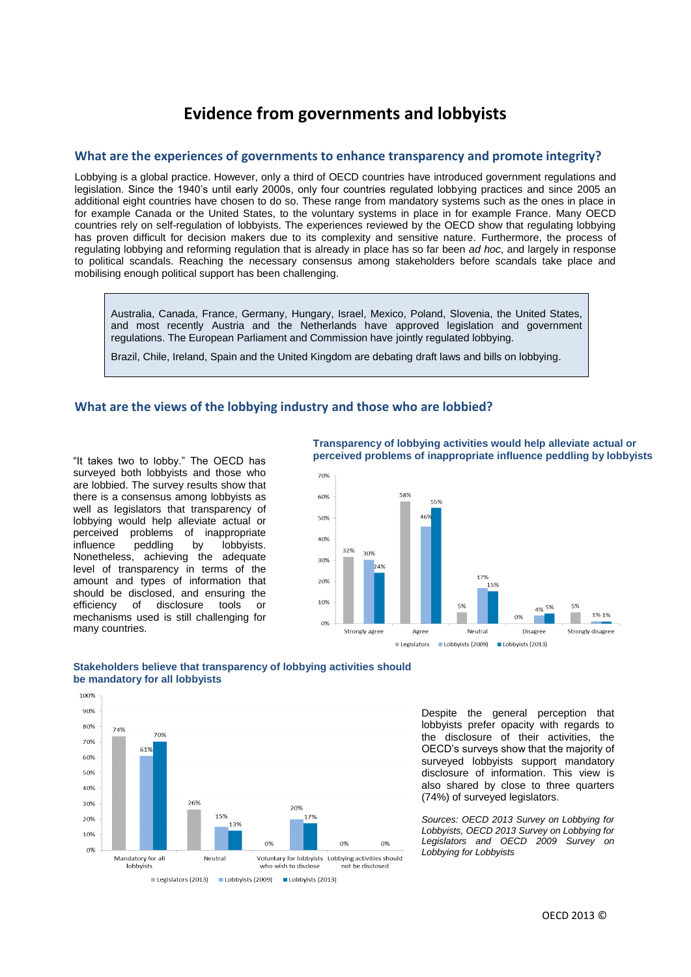# **Evidence from governments and lobbyists**

# **What are the experiences of governments to enhance transparency and promote integrity?**

Lobbying is a global practice. However, only a third of OECD countries have introduced government regulations and legislation. Since the 1940's until early 2000s, only four countries regulated lobbying practices and since 2005 an additional eight countries have chosen to do so. These range from mandatory systems such as the ones in place in for example Canada or the United States, to the voluntary systems in place in for example France. Many OECD countries rely on self-regulation of lobbyists. The experiences reviewed by the OECD show that regulating lobbying has proven difficult for decision makers due to its complexity and sensitive nature. Furthermore, the process of regulating lobbying and reforming regulation that is already in place has so far been *ad hoc*, and largely in response to political scandals. Reaching the necessary consensus among stakeholders before scandals take place and mobilising enough political support has been challenging.

Australia, Canada, France, Germany, Hungary, Israel, Mexico, Poland, Slovenia, the United States, and most recently Austria and the Netherlands have approved legislation and government regulations. The European Parliament and Commission have jointly regulated lobbying.

Brazil, Chile, Ireland, Spain and the United Kingdom are debating draft laws and bills on lobbying.

#### **What are the views of the lobbying industry and those who are lobbied?**

"It takes two to lobby." The OECD has surveyed both lobbyists and those who are lobbied. The survey results show that there is a consensus among lobbyists as well as legislators that transparency of lobbying would help alleviate actual or perceived problems of inappropriate influence peddling by lobbyists. Nonetheless, achieving the adequate level of transparency in terms of the amount and types of information that should be disclosed, and ensuring the efficiency of disclosure tools or mechanisms used is still challenging for many countries.

**Transparency of lobbying activities would help alleviate actual or perceived problems of inappropriate influence peddling by lobbyists**







Despite the general perception that lobbyists prefer opacity with regards to the disclosure of their activities, the OECD's surveys show that the majority of surveyed lobbyists support mandatory disclosure of information. This view is also shared by close to three quarters (74%) of surveyed legislators.

*Sources: OECD 2013 Survey on Lobbying for Lobbyists, OECD 2013 Survey on Lobbying for Legislators and OECD 2009 Survey on Lobbying for Lobbyists*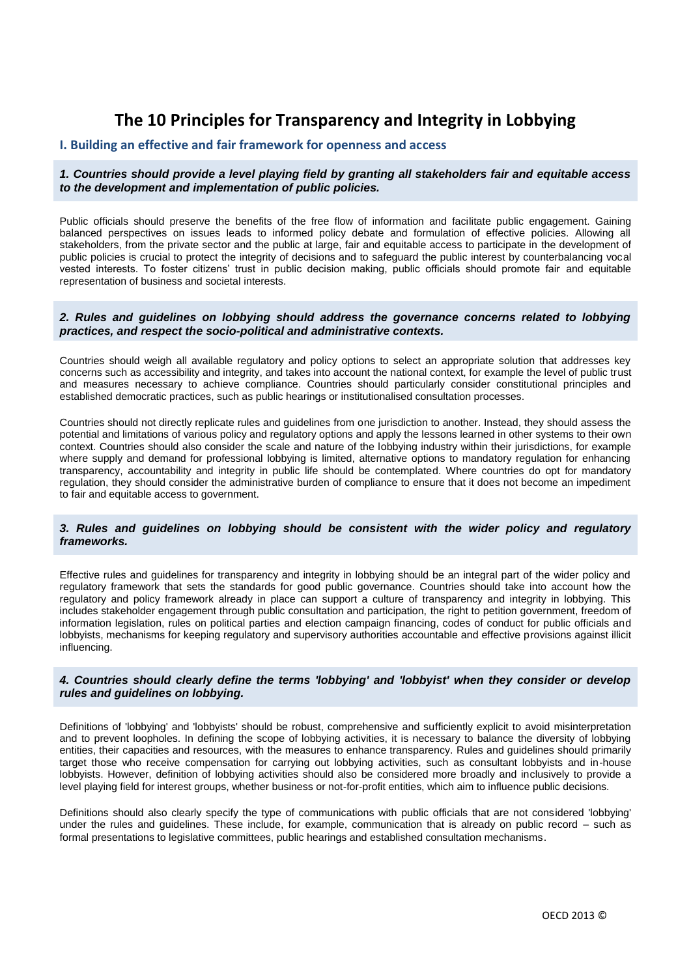# **The 10 Principles for Transparency and Integrity in Lobbying**

# **I. Building an effective and fair framework for openness and access**

## *1. Countries should provide a level playing field by granting all stakeholders fair and equitable access to the development and implementation of public policies.*

Public officials should preserve the benefits of the free flow of information and facilitate public engagement. Gaining balanced perspectives on issues leads to informed policy debate and formulation of effective policies. Allowing all stakeholders, from the private sector and the public at large, fair and equitable access to participate in the development of public policies is crucial to protect the integrity of decisions and to safeguard the public interest by counterbalancing vocal vested interests. To foster citizens' trust in public decision making, public officials should promote fair and equitable representation of business and societal interests.

#### *2. Rules and guidelines on lobbying should address the governance concerns related to lobbying practices, and respect the socio-political and administrative contexts.*

Countries should weigh all available regulatory and policy options to select an appropriate solution that addresses key concerns such as accessibility and integrity, and takes into account the national context, for example the level of public trust and measures necessary to achieve compliance. Countries should particularly consider constitutional principles and established democratic practices, such as public hearings or institutionalised consultation processes.

Countries should not directly replicate rules and guidelines from one jurisdiction to another. Instead, they should assess the potential and limitations of various policy and regulatory options and apply the lessons learned in other systems to their own context. Countries should also consider the scale and nature of the lobbying industry within their jurisdictions, for example where supply and demand for professional lobbying is limited, alternative options to mandatory regulation for enhancing transparency, accountability and integrity in public life should be contemplated. Where countries do opt for mandatory regulation, they should consider the administrative burden of compliance to ensure that it does not become an impediment to fair and equitable access to government.

## *3. Rules and guidelines on lobbying should be consistent with the wider policy and regulatory frameworks.*

Effective rules and guidelines for transparency and integrity in lobbying should be an integral part of the wider policy and regulatory framework that sets the standards for good public governance. Countries should take into account how the regulatory and policy framework already in place can support a culture of transparency and integrity in lobbying. This includes stakeholder engagement through public consultation and participation, the right to petition government, freedom of information legislation, rules on political parties and election campaign financing, codes of conduct for public officials and lobbyists, mechanisms for keeping regulatory and supervisory authorities accountable and effective provisions against illicit influencing.

## *4. Countries should clearly define the terms 'lobbying' and 'lobbyist' when they consider or develop rules and guidelines on lobbying.*

Definitions of 'lobbying' and 'lobbyists' should be robust, comprehensive and sufficiently explicit to avoid misinterpretation and to prevent loopholes. In defining the scope of lobbying activities, it is necessary to balance the diversity of lobbying entities, their capacities and resources, with the measures to enhance transparency. Rules and guidelines should primarily target those who receive compensation for carrying out lobbying activities, such as consultant lobbyists and in-house lobbyists. However, definition of lobbying activities should also be considered more broadly and inclusively to provide a level playing field for interest groups, whether business or not-for-profit entities, which aim to influence public decisions.

Definitions should also clearly specify the type of communications with public officials that are not considered 'lobbying' under the rules and guidelines. These include, for example, communication that is already on public record – such as formal presentations to legislative committees, public hearings and established consultation mechanisms.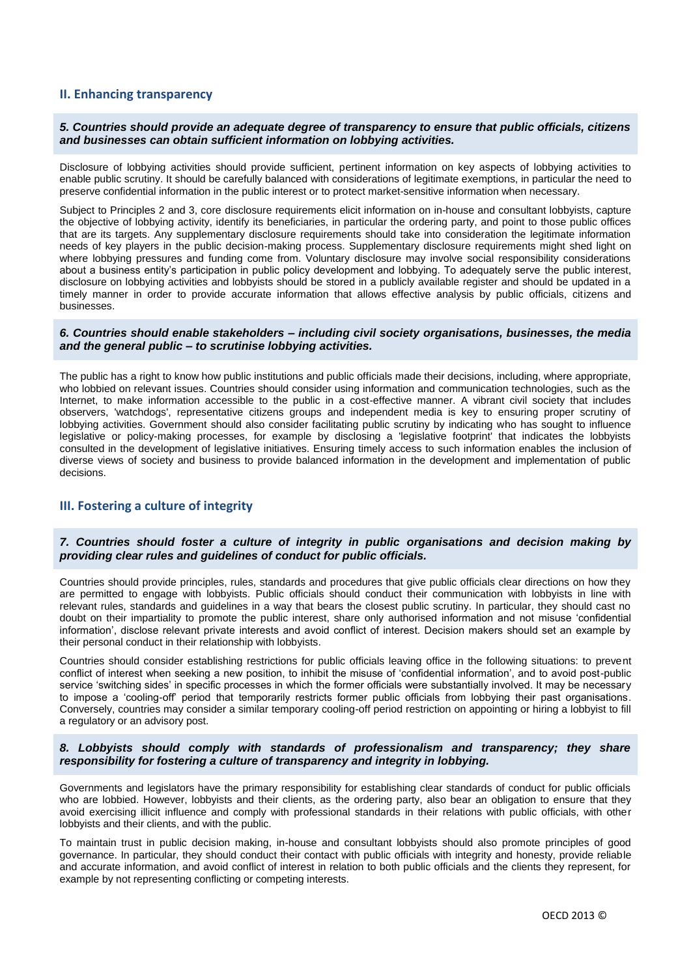# **II. Enhancing transparency**

#### *5. Countries should provide an adequate degree of transparency to ensure that public officials, citizens and businesses can obtain sufficient information on lobbying activities.*

Disclosure of lobbying activities should provide sufficient, pertinent information on key aspects of lobbying activities to enable public scrutiny. It should be carefully balanced with considerations of legitimate exemptions, in particular the need to preserve confidential information in the public interest or to protect market-sensitive information when necessary.

Subject to Principles 2 and 3, core disclosure requirements elicit information on in-house and consultant lobbyists, capture the objective of lobbying activity, identify its beneficiaries, in particular the ordering party, and point to those public offices that are its targets. Any supplementary disclosure requirements should take into consideration the legitimate information needs of key players in the public decision-making process. Supplementary disclosure requirements might shed light on where lobbying pressures and funding come from. Voluntary disclosure may involve social responsibility considerations about a business entity's participation in public policy development and lobbying. To adequately serve the public interest, disclosure on lobbying activities and lobbyists should be stored in a publicly available register and should be updated in a timely manner in order to provide accurate information that allows effective analysis by public officials, citizens and businesses.

#### *6. Countries should enable stakeholders – including civil society organisations, businesses, the media and the general public – to scrutinise lobbying activities.*

The public has a right to know how public institutions and public officials made their decisions, including, where appropriate, who lobbied on relevant issues. Countries should consider using information and communication technologies, such as the Internet, to make information accessible to the public in a cost-effective manner. A vibrant civil society that includes observers, 'watchdogs', representative citizens groups and independent media is key to ensuring proper scrutiny of lobbying activities. Government should also consider facilitating public scrutiny by indicating who has sought to influence legislative or policy-making processes, for example by disclosing a 'legislative footprint' that indicates the lobbyists consulted in the development of legislative initiatives. Ensuring timely access to such information enables the inclusion of diverse views of society and business to provide balanced information in the development and implementation of public decisions.

# **III. Fostering a culture of integrity**

#### *7. Countries should foster a culture of integrity in public organisations and decision making by providing clear rules and guidelines of conduct for public officials.*

Countries should provide principles, rules, standards and procedures that give public officials clear directions on how they are permitted to engage with lobbyists. Public officials should conduct their communication with lobbyists in line with relevant rules, standards and guidelines in a way that bears the closest public scrutiny. In particular, they should cast no doubt on their impartiality to promote the public interest, share only authorised information and not misuse 'confidential information', disclose relevant private interests and avoid conflict of interest. Decision makers should set an example by their personal conduct in their relationship with lobbyists.

Countries should consider establishing restrictions for public officials leaving office in the following situations: to prevent conflict of interest when seeking a new position, to inhibit the misuse of 'confidential information', and to avoid post-public service 'switching sides' in specific processes in which the former officials were substantially involved. It may be necessary to impose a 'cooling-off' period that temporarily restricts former public officials from lobbying their past organisations. Conversely, countries may consider a similar temporary cooling-off period restriction on appointing or hiring a lobbyist to fill a regulatory or an advisory post.

## *8. Lobbyists should comply with standards of professionalism and transparency; they share responsibility for fostering a culture of transparency and integrity in lobbying.*

Governments and legislators have the primary responsibility for establishing clear standards of conduct for public officials who are lobbied. However, lobbyists and their clients, as the ordering party, also bear an obligation to ensure that they avoid exercising illicit influence and comply with professional standards in their relations with public officials, with other lobbyists and their clients, and with the public.

To maintain trust in public decision making, in-house and consultant lobbyists should also promote principles of good governance. In particular, they should conduct their contact with public officials with integrity and honesty, provide reliable and accurate information, and avoid conflict of interest in relation to both public officials and the clients they represent, for example by not representing conflicting or competing interests.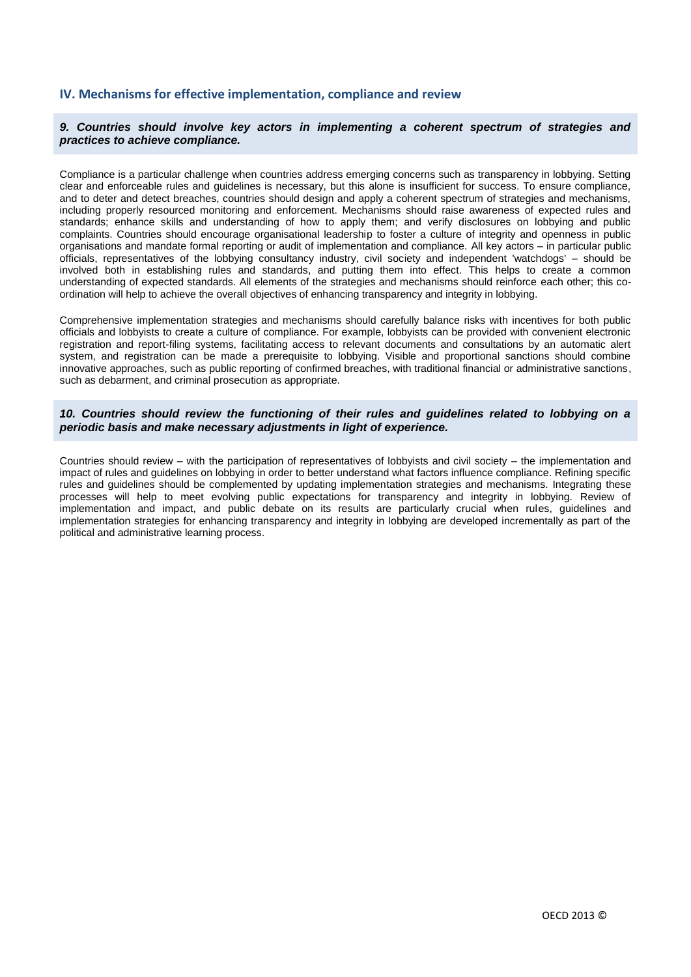## **IV. Mechanisms for effective implementation, compliance and review**

#### *9. Countries should involve key actors in implementing a coherent spectrum of strategies and practices to achieve compliance.*

Compliance is a particular challenge when countries address emerging concerns such as transparency in lobbying. Setting clear and enforceable rules and guidelines is necessary, but this alone is insufficient for success. To ensure compliance, and to deter and detect breaches, countries should design and apply a coherent spectrum of strategies and mechanisms, including properly resourced monitoring and enforcement. Mechanisms should raise awareness of expected rules and standards; enhance skills and understanding of how to apply them; and verify disclosures on lobbying and public complaints. Countries should encourage organisational leadership to foster a culture of integrity and openness in public organisations and mandate formal reporting or audit of implementation and compliance. All key actors – in particular public officials, representatives of the lobbying consultancy industry, civil society and independent 'watchdogs' – should be involved both in establishing rules and standards, and putting them into effect. This helps to create a common understanding of expected standards. All elements of the strategies and mechanisms should reinforce each other; this coordination will help to achieve the overall objectives of enhancing transparency and integrity in lobbying.

Comprehensive implementation strategies and mechanisms should carefully balance risks with incentives for both public officials and lobbyists to create a culture of compliance. For example, lobbyists can be provided with convenient electronic registration and report-filing systems, facilitating access to relevant documents and consultations by an automatic alert system, and registration can be made a prerequisite to lobbying. Visible and proportional sanctions should combine innovative approaches, such as public reporting of confirmed breaches, with traditional financial or administrative sanctions, such as debarment, and criminal prosecution as appropriate.

## *10. Countries should review the functioning of their rules and guidelines related to lobbying on a periodic basis and make necessary adjustments in light of experience.*

Countries should review – with the participation of representatives of lobbyists and civil society – the implementation and impact of rules and guidelines on lobbying in order to better understand what factors influence compliance. Refining specific rules and guidelines should be complemented by updating implementation strategies and mechanisms. Integrating these processes will help to meet evolving public expectations for transparency and integrity in lobbying. Review of implementation and impact, and public debate on its results are particularly crucial when rules, guidelines and implementation strategies for enhancing transparency and integrity in lobbying are developed incrementally as part of the political and administrative learning process.